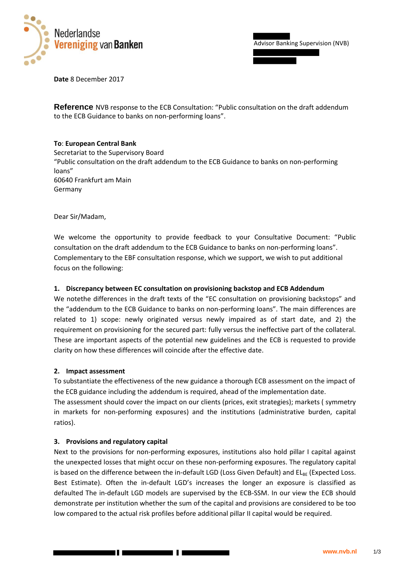

Advisor Banking Supervision (NVB)

**Date** 8 December 2017

**Reference** NVB response to the ECB Consultation: "Public consultation on the draft addendum to the ECB Guidance to banks on non-performing loans".

## **To**: **European Central Bank**

Secretariat to the Supervisory Board "Public consultation on the draft addendum to the ECB Guidance to banks on non-performing loans" 60640 Frankfurt am Main Germany

Dear Sir/Madam,

We welcome the opportunity to provide feedback to your Consultative Document: "Public consultation on the draft addendum to the ECB Guidance to banks on non-performing loans". Complementary to the EBF consultation response, which we support, we wish to put additional focus on the following:

## **1. Discrepancy between EC consultation on provisioning backstop and ECB Addendum**

We notethe differences in the draft texts of the "EC consultation on provisioning backstops" and the "addendum to the ECB Guidance to banks on non-performing loans". The main differences are related to 1) scope: newly originated versus newly impaired as of start date, and 2) the requirement on provisioning for the secured part: fully versus the ineffective part of the collateral. These are important aspects of the potential new guidelines and the ECB is requested to provide clarity on how these differences will coincide after the effective date.

## **2. Impact assessment**

To substantiate the effectiveness of the new guidance a thorough ECB assessment on the impact of the ECB guidance including the addendum is required, ahead of the implementation date.

The assessment should cover the impact on our clients (prices, exit strategies); markets ( symmetry in markets for non-performing exposures) and the institutions (administrative burden, capital ratios).

## **3. Provisions and regulatory capital**

Next to the provisions for non-performing exposures, institutions also hold pillar I capital against the unexpected losses that might occur on these non-performing exposures. The regulatory capital is based on the difference between the in-default LGD (Loss Given Default) and  $EL_{BE}$  (Expected Loss. Best Estimate). Often the in-default LGD's increases the longer an exposure is classified as defaulted The in-default LGD models are supervised by the ECB-SSM. In our view the ECB should demonstrate per institution whether the sum of the capital and provisions are considered to be too low compared to the actual risk profiles before additional pillar II capital would be required.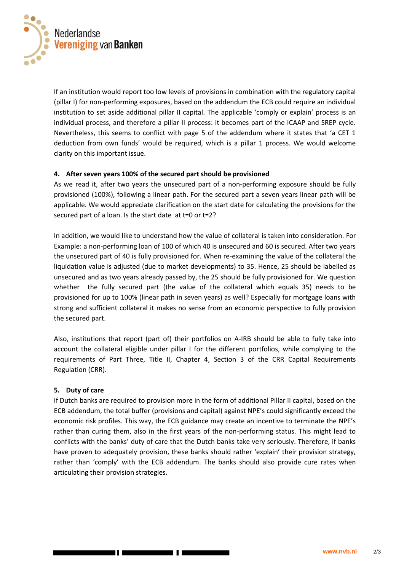

If an institution would report too low levels of provisions in combination with the regulatory capital (pillar I) for non-performing exposures, based on the addendum the ECB could require an individual institution to set aside additional pillar II capital. The applicable 'comply or explain' process is an individual process, and therefore a pillar II process: it becomes part of the ICAAP and SREP cycle. Nevertheless, this seems to conflict with page 5 of the addendum where it states that 'a CET 1 deduction from own funds' would be required, which is a pillar 1 process. We would welcome clarity on this important issue.

## **4. After seven years 100% of the secured part should be provisioned**

As we read it, after two years the unsecured part of a non-performing exposure should be fully provisioned (100%), following a linear path. For the secured part a seven years linear path will be applicable. We would appreciate clarification on the start date for calculating the provisions for the secured part of a loan. Is the start date at t=0 or t=2?

In addition, we would like to understand how the value of collateral is taken into consideration. For Example: a non-performing loan of 100 of which 40 is unsecured and 60 is secured. After two years the unsecured part of 40 is fully provisioned for. When re-examining the value of the collateral the liquidation value is adjusted (due to market developments) to 35. Hence, 25 should be labelled as unsecured and as two years already passed by, the 25 should be fully provisioned for. We question whether the fully secured part (the value of the collateral which equals 35) needs to be provisioned for up to 100% (linear path in seven years) as well? Especially for mortgage loans with strong and sufficient collateral it makes no sense from an economic perspective to fully provision the secured part.

Also, institutions that report (part of) their portfolios on A-IRB should be able to fully take into account the collateral eligible under pillar I for the different portfolios, while complying to the requirements of Part Three, Title II, Chapter 4, Section 3 of the CRR Capital Requirements Regulation (CRR).

## **5. Duty of care**

If Dutch banks are required to provision more in the form of additional Pillar II capital, based on the ECB addendum, the total buffer (provisions and capital) against NPE's could significantly exceed the economic risk profiles. This way, the ECB guidance may create an incentive to terminate the NPE's rather than curing them, also in the first years of the non-performing status. This might lead to conflicts with the banks' duty of care that the Dutch banks take very seriously. Therefore, if banks have proven to adequately provision, these banks should rather 'explain' their provision strategy, rather than 'comply' with the ECB addendum. The banks should also provide cure rates when articulating their provision strategies.